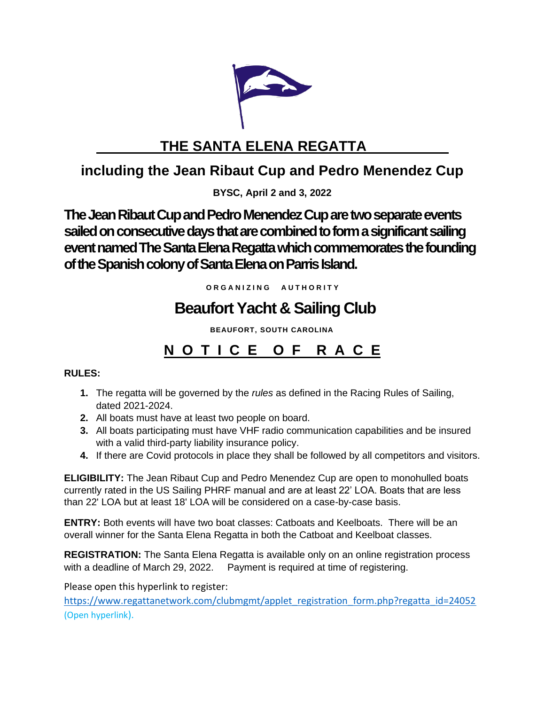

# **THE SANTA ELENA REGATTA**

## **including the Jean Ribaut Cup and Pedro Menendez Cup**

**BYSC, April 2 and 3, 2022** 

**The Jean Ribaut Cup and Pedro Menendez Cup are two separate events sailed on consecutive days that are combined to form a significant sailing event named The Santa Elena Regatta which commemorates the founding**  of the Spanish colony of Santa Elena on Parris Island.

**O R G A N I Z I N G A U T H O R I T Y**

# **Beaufort Yacht & Sailing Club**

 **BEAUFORT, SOUTH CAROLINA**

## **N O T I C E O F R A C E**

## **RULES:**

- **1.** The regatta will be governed by the *rules* as defined in the Racing Rules of Sailing, dated 2021-2024.
- **2.** All boats must have at least two people on board.
- **3.** All boats participating must have VHF radio communication capabilities and be insured with a valid third-party liability insurance policy.
- **4.** If there are Covid protocols in place they shall be followed by all competitors and visitors.

**ELIGIBILITY:** The Jean Ribaut Cup and Pedro Menendez Cup are open to monohulled boats currently rated in the US Sailing PHRF manual and are at least 22' LOA. Boats that are less than 22' LOA but at least 18' LOA will be considered on a case-by-case basis.

**ENTRY:** Both events will have two boat classes: Catboats and Keelboats. There will be an overall winner for the Santa Elena Regatta in both the Catboat and Keelboat classes.

**REGISTRATION:** The Santa Elena Regatta is available only on an online registration process with a deadline of March 29, 2022. Payment is required at time of registering.

Please open this hyperlink to register:

[https://www.regattanetwork.com/clubmgmt/applet\\_registration\\_form.php?regatta\\_id=24052](https://www.regattanetwork.com/clubmgmt/applet_registration_form.php?regatta_id=24052) (Open hyperlink).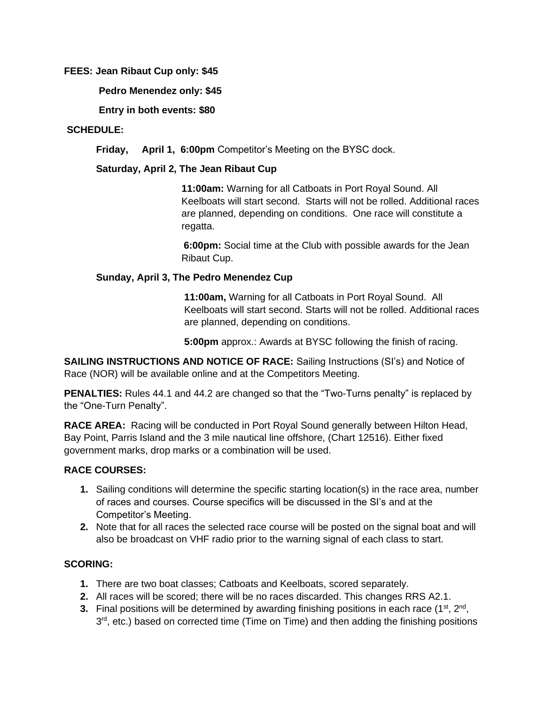### **FEES: Jean Ribaut Cup only: \$45**

**Pedro Menendez only: \$45**

**Entry in both events: \$80**

### **SCHEDULE:**

**Friday, April 1, 6:00pm** Competitor's Meeting on the BYSC dock.

#### **Saturday, April 2, The Jean Ribaut Cup**

**11:00am:** Warning for all Catboats in Port Royal Sound. All Keelboats will start second. Starts will not be rolled. Additional races are planned, depending on conditions. One race will constitute a regatta.

**6:00pm:** Social time at the Club with possible awards for the Jean Ribaut Cup.

#### **Sunday, April 3, The Pedro Menendez Cup**

**11:00am,** Warning for all Catboats in Port Royal Sound. All Keelboats will start second. Starts will not be rolled. Additional races are planned, depending on conditions.

**5:00pm** approx.: Awards at BYSC following the finish of racing.

**SAILING INSTRUCTIONS AND NOTICE OF RACE:** Sailing Instructions (SI's) and Notice of Race (NOR) will be available online and at the Competitors Meeting.

**PENALTIES:** Rules 44.1 and 44.2 are changed so that the "Two-Turns penalty" is replaced by the "One-Turn Penalty".

**RACE AREA:** Racing will be conducted in Port Royal Sound generally between Hilton Head, Bay Point, Parris Island and the 3 mile nautical line offshore, (Chart 12516). Either fixed government marks, drop marks or a combination will be used.

## **RACE COURSES:**

- **1.** Sailing conditions will determine the specific starting location(s) in the race area, number of races and courses. Course specifics will be discussed in the SI's and at the Competitor's Meeting.
- **2.** Note that for all races the selected race course will be posted on the signal boat and will also be broadcast on VHF radio prior to the warning signal of each class to start.

## **SCORING:**

- **1.** There are two boat classes; Catboats and Keelboats, scored separately.
- **2.** All races will be scored; there will be no races discarded. This changes RRS A2.1.
- **3.** Final positions will be determined by awarding finishing positions in each race (1<sup>st</sup>, 2<sup>nd</sup>, 3<sup>rd</sup>, etc.) based on corrected time (Time on Time) and then adding the finishing positions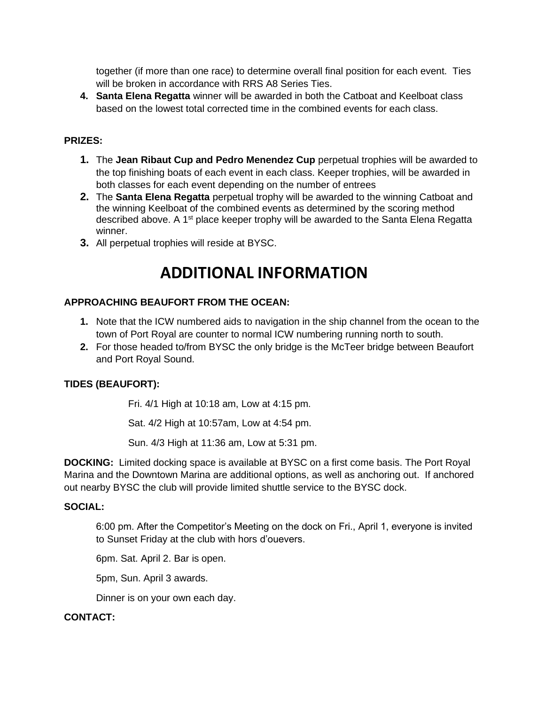together (if more than one race) to determine overall final position for each event. Ties will be broken in accordance with RRS A8 Series Ties.

**4. Santa Elena Regatta** winner will be awarded in both the Catboat and Keelboat class based on the lowest total corrected time in the combined events for each class.

#### **PRIZES:**

- **1.** The **Jean Ribaut Cup and Pedro Menendez Cup** perpetual trophies will be awarded to the top finishing boats of each event in each class. Keeper trophies, will be awarded in both classes for each event depending on the number of entrees
- **2.** The **Santa Elena Regatta** perpetual trophy will be awarded to the winning Catboat and the winning Keelboat of the combined events as determined by the scoring method described above. A 1<sup>st</sup> place keeper trophy will be awarded to the Santa Elena Regatta winner.
- **3.** All perpetual trophies will reside at BYSC.

## **ADDITIONAL INFORMATION**

#### **APPROACHING BEAUFORT FROM THE OCEAN:**

- **1.** Note that the ICW numbered aids to navigation in the ship channel from the ocean to the town of Port Royal are counter to normal ICW numbering running north to south.
- **2.** For those headed to/from BYSC the only bridge is the McTeer bridge between Beaufort and Port Royal Sound.

#### **TIDES (BEAUFORT):**

Fri. 4/1 High at 10:18 am, Low at 4:15 pm.

Sat. 4/2 High at 10:57am, Low at 4:54 pm.

Sun. 4/3 High at 11:36 am, Low at 5:31 pm.

**DOCKING:** Limited docking space is available at BYSC on a first come basis. The Port Royal Marina and the Downtown Marina are additional options, as well as anchoring out. If anchored out nearby BYSC the club will provide limited shuttle service to the BYSC dock.

#### **SOCIAL:**

6:00 pm. After the Competitor's Meeting on the dock on Fri., April 1, everyone is invited to Sunset Friday at the club with hors d'ouevers.

6pm. Sat. April 2. Bar is open.

5pm, Sun. April 3 awards.

Dinner is on your own each day.

#### **CONTACT:**